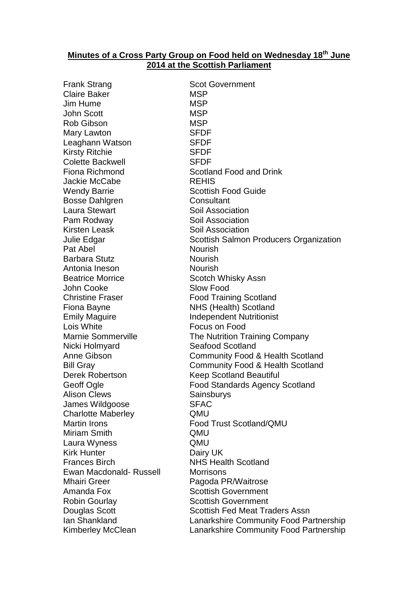# **Minutes of a Cross Party Group on Food held on Wednesday 18th June 2014 at the Scottish Parliament**

Frank Strang Scot Government Claire Baker MSP Jim Hume MSP John Scott **MSP** Rob Gibson MSP Mary Lawton SFDF Leaghann Watson **SFDF** Kirsty Ritchie SFDF Colette Backwell SFDF Jackie McCabe REHIS Wendy Barrie **Scottish Food Guide** Bosse Dahlgren Consultant Laura Stewart Soil Association Pam Rodway Soil Association Kirsten Leask Soil Association Pat Abel Nourish Barbara Stutz Nourish Antonia Ineson Nourish Beatrice Morrice **Scotch Whisky Assn** John Cooke Slow Food Christine Fraser Food Training Scotland Fiona Bayne NHS (Health) Scotland Lois White **Focus** on Food Nicki Holmyard Seafood Scotland Alison Clews Sainsburys James Wildgoose SFAC Charlotte Maberley QMU Miriam Smith QMU Laura Wyness QMU Kirk Hunter **Dairy UK** Frances Birch NHS Health Scotland Ewan Macdonald- Russell Morrisons Mhairi Greer **Pagoda PR/Waitrose** Amanda Fox Scottish Government Robin Gourlay Scottish Government

Fiona Richmond Scotland Food and Drink Julie Edgar Scottish Salmon Producers Organization Emily Maguire **Independent Nutritionist** Marnie Sommerville The Nutrition Training Company Anne Gibson Community Food & Health Scotland Bill Gray Community Food & Health Scotland Derek Robertson Keep Scotland Beautiful Geoff Ogle **Food Standards Agency Scotland** Martin Irons Food Trust Scotland/QMU Douglas Scott Scottish Fed Meat Traders Assn Ian Shankland Lanarkshire Community Food Partnership Kimberley McClean Lanarkshire Community Food Partnership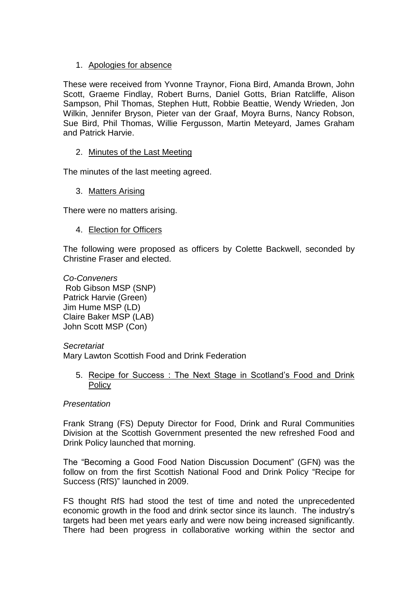# 1. Apologies for absence

These were received from Yvonne Traynor, Fiona Bird, Amanda Brown, John Scott, Graeme Findlay, Robert Burns, Daniel Gotts, Brian Ratcliffe, Alison Sampson, Phil Thomas, Stephen Hutt, Robbie Beattie, Wendy Wrieden, Jon Wilkin, Jennifer Bryson, Pieter van der Graaf, Moyra Burns, Nancy Robson, Sue Bird, Phil Thomas, Willie Fergusson, Martin Meteyard, James Graham and Patrick Harvie.

## 2. Minutes of the Last Meeting

The minutes of the last meeting agreed.

3. Matters Arising

There were no matters arising.

4. Election for Officers

The following were proposed as officers by Colette Backwell, seconded by Christine Fraser and elected.

*Co-Conveners* Rob Gibson MSP (SNP) Patrick Harvie (Green) Jim Hume MSP (LD) Claire Baker MSP (LAB) John Scott MSP (Con)

### *Secretariat*

Mary Lawton Scottish Food and Drink Federation

5. Recipe for Success : The Next Stage in Scotland's Food and Drink **Policy** 

## *Presentation*

Frank Strang (FS) Deputy Director for Food, Drink and Rural Communities Division at the Scottish Government presented the new refreshed Food and Drink Policy launched that morning.

The "Becoming a Good Food Nation Discussion Document" (GFN) was the follow on from the first Scottish National Food and Drink Policy "Recipe for Success (RfS)" launched in 2009.

FS thought RfS had stood the test of time and noted the unprecedented economic growth in the food and drink sector since its launch. The industry's targets had been met years early and were now being increased significantly. There had been progress in collaborative working within the sector and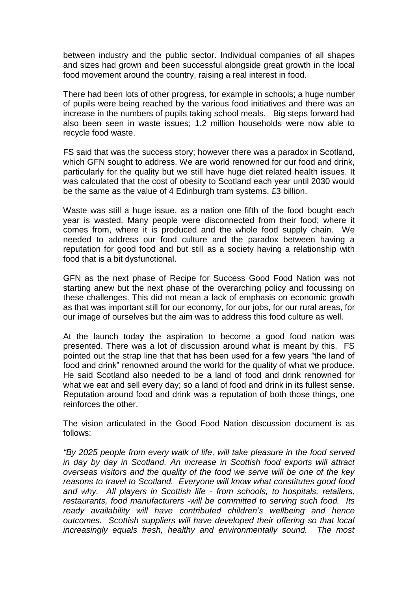between industry and the public sector. Individual companies of all shapes and sizes had grown and been successful alongside great growth in the local food movement around the country, raising a real interest in food.

There had been lots of other progress, for example in schools; a huge number of pupils were being reached by the various food initiatives and there was an increase in the numbers of pupils taking school meals. Big steps forward had also been seen in waste issues; 1.2 million households were now able to recycle food waste.

FS said that was the success story; however there was a paradox in Scotland, which GFN sought to address. We are world renowned for our food and drink, particularly for the quality but we still have huge diet related health issues. It was calculated that the cost of obesity to Scotland each year until 2030 would be the same as the value of 4 Edinburgh tram systems, £3 billion.

Waste was still a huge issue, as a nation one fifth of the food bought each year is wasted. Many people were disconnected from their food; where it comes from, where it is produced and the whole food supply chain. We needed to address our food culture and the paradox between having a reputation for good food and but still as a society having a relationship with food that is a bit dysfunctional.

GFN as the next phase of Recipe for Success Good Food Nation was not starting anew but the next phase of the overarching policy and focussing on these challenges. This did not mean a lack of emphasis on economic growth as that was important still for our economy, for our jobs, for our rural areas, for our image of ourselves but the aim was to address this food culture as well.

At the launch today the aspiration to become a good food nation was presented. There was a lot of discussion around what is meant by this. FS pointed out the strap line that that has been used for a few years "the land of food and drink" renowned around the world for the quality of what we produce. He said Scotland also needed to be a land of food and drink renowned for what we eat and sell every day; so a land of food and drink in its fullest sense. Reputation around food and drink was a reputation of both those things, one reinforces the other.

The vision articulated in the Good Food Nation discussion document is as follows:

*"By 2025 people from every walk of life, will take pleasure in the food served in day by day in Scotland. An increase in Scottish food exports will attract overseas visitors and the quality of the food we serve will be one of the key reasons to travel to Scotland. Everyone will know what constitutes good food and why. All players in Scottish life - from schools, to hospitals, retailers, restaurants, food manufacturers -will be committed to serving such food. Its ready availability will have contributed children's wellbeing and hence outcomes. Scottish suppliers will have developed their offering so that local increasingly equals fresh, healthy and environmentally sound. The most*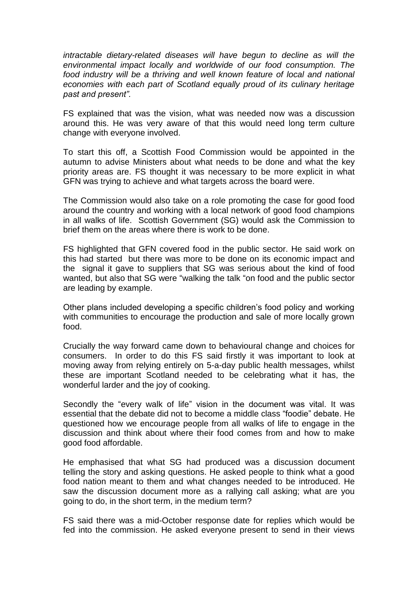*intractable dietary-related diseases will have begun to decline as will the environmental impact locally and worldwide of our food consumption. The food industry will be a thriving and well known feature of local and national economies with each part of Scotland equally proud of its culinary heritage past and present".* 

FS explained that was the vision, what was needed now was a discussion around this. He was very aware of that this would need long term culture change with everyone involved.

To start this off, a Scottish Food Commission would be appointed in the autumn to advise Ministers about what needs to be done and what the key priority areas are. FS thought it was necessary to be more explicit in what GFN was trying to achieve and what targets across the board were.

The Commission would also take on a role promoting the case for good food around the country and working with a local network of good food champions in all walks of life. Scottish Government (SG) would ask the Commission to brief them on the areas where there is work to be done.

FS highlighted that GFN covered food in the public sector. He said work on this had started but there was more to be done on its economic impact and the signal it gave to suppliers that SG was serious about the kind of food wanted, but also that SG were "walking the talk "on food and the public sector are leading by example.

Other plans included developing a specific children's food policy and working with communities to encourage the production and sale of more locally grown food.

Crucially the way forward came down to behavioural change and choices for consumers. In order to do this FS said firstly it was important to look at moving away from relying entirely on 5-a-day public health messages, whilst these are important Scotland needed to be celebrating what it has, the wonderful larder and the joy of cooking.

Secondly the "every walk of life" vision in the document was vital. It was essential that the debate did not to become a middle class "foodie" debate. He questioned how we encourage people from all walks of life to engage in the discussion and think about where their food comes from and how to make good food affordable.

He emphasised that what SG had produced was a discussion document telling the story and asking questions. He asked people to think what a good food nation meant to them and what changes needed to be introduced. He saw the discussion document more as a rallying call asking; what are you going to do, in the short term, in the medium term?

FS said there was a mid-October response date for replies which would be fed into the commission. He asked everyone present to send in their views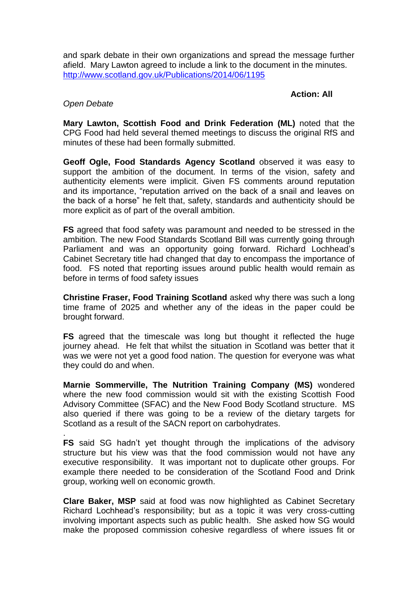and spark debate in their own organizations and spread the message further afield. Mary Lawton agreed to include a link to the document in the minutes. <http://www.scotland.gov.uk/Publications/2014/06/1195>

### **Action: All**

### *Open Debate*

.

**Mary Lawton, Scottish Food and Drink Federation (ML)** noted that the CPG Food had held several themed meetings to discuss the original RfS and minutes of these had been formally submitted.

**Geoff Ogle, Food Standards Agency Scotland** observed it was easy to support the ambition of the document. In terms of the vision, safety and authenticity elements were implicit. Given FS comments around reputation and its importance, "reputation arrived on the back of a snail and leaves on the back of a horse" he felt that, safety, standards and authenticity should be more explicit as of part of the overall ambition.

**FS** agreed that food safety was paramount and needed to be stressed in the ambition. The new Food Standards Scotland Bill was currently going through Parliament and was an opportunity going forward. Richard Lochhead's Cabinet Secretary title had changed that day to encompass the importance of food. FS noted that reporting issues around public health would remain as before in terms of food safety issues

**Christine Fraser, Food Training Scotland** asked why there was such a long time frame of 2025 and whether any of the ideas in the paper could be brought forward.

**FS** agreed that the timescale was long but thought it reflected the huge journey ahead. He felt that whilst the situation in Scotland was better that it was we were not yet a good food nation. The question for everyone was what they could do and when.

**Marnie Sommerville, The Nutrition Training Company (MS)** wondered where the new food commission would sit with the existing Scottish Food Advisory Committee (SFAC) and the New Food Body Scotland structure. MS also queried if there was going to be a review of the dietary targets for Scotland as a result of the SACN report on carbohydrates.

**FS** said SG hadn't yet thought through the implications of the advisory structure but his view was that the food commission would not have any executive responsibility. It was important not to duplicate other groups. For example there needed to be consideration of the Scotland Food and Drink group, working well on economic growth.

**Clare Baker, MSP** said at food was now highlighted as Cabinet Secretary Richard Lochhead's responsibility; but as a topic it was very cross-cutting involving important aspects such as public health. She asked how SG would make the proposed commission cohesive regardless of where issues fit or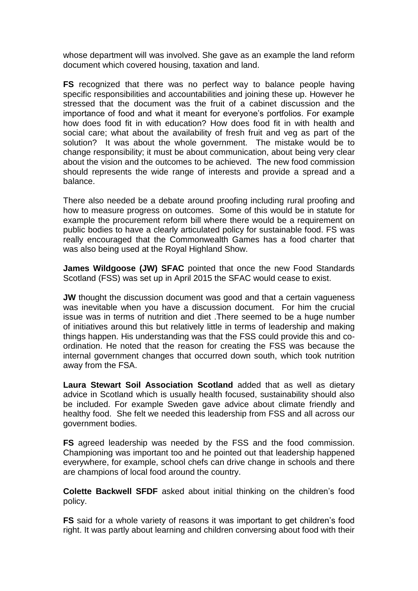whose department will was involved. She gave as an example the land reform document which covered housing, taxation and land.

**FS** recognized that there was no perfect way to balance people having specific responsibilities and accountabilities and joining these up. However he stressed that the document was the fruit of a cabinet discussion and the importance of food and what it meant for everyone's portfolios. For example how does food fit in with education? How does food fit in with health and social care; what about the availability of fresh fruit and veg as part of the solution? It was about the whole government. The mistake would be to change responsibility; it must be about communication, about being very clear about the vision and the outcomes to be achieved. The new food commission should represents the wide range of interests and provide a spread and a balance.

There also needed be a debate around proofing including rural proofing and how to measure progress on outcomes. Some of this would be in statute for example the procurement reform bill where there would be a requirement on public bodies to have a clearly articulated policy for sustainable food. FS was really encouraged that the Commonwealth Games has a food charter that was also being used at the Royal Highland Show.

**James Wildgoose (JW) SFAC** pointed that once the new Food Standards Scotland (FSS) was set up in April 2015 the SFAC would cease to exist.

**JW** thought the discussion document was good and that a certain vagueness was inevitable when you have a discussion document. For him the crucial issue was in terms of nutrition and diet .There seemed to be a huge number of initiatives around this but relatively little in terms of leadership and making things happen. His understanding was that the FSS could provide this and coordination. He noted that the reason for creating the FSS was because the internal government changes that occurred down south, which took nutrition away from the FSA.

**Laura Stewart Soil Association Scotland** added that as well as dietary advice in Scotland which is usually health focused, sustainability should also be included. For example Sweden gave advice about climate friendly and healthy food. She felt we needed this leadership from FSS and all across our government bodies.

**FS** agreed leadership was needed by the FSS and the food commission. Championing was important too and he pointed out that leadership happened everywhere, for example, school chefs can drive change in schools and there are champions of local food around the country.

**Colette Backwell SFDF** asked about initial thinking on the children's food policy.

**FS** said for a whole variety of reasons it was important to get children's food right. It was partly about learning and children conversing about food with their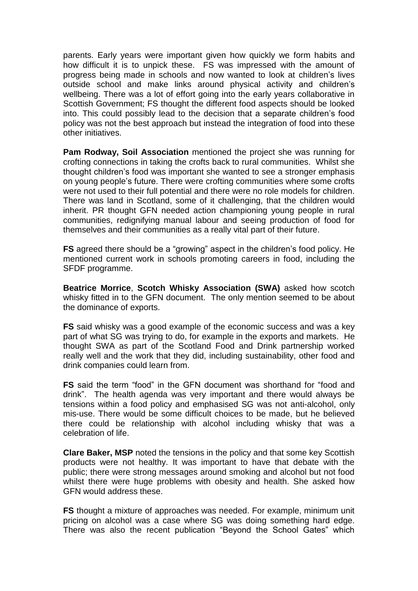parents. Early years were important given how quickly we form habits and how difficult it is to unpick these. FS was impressed with the amount of progress being made in schools and now wanted to look at children's lives outside school and make links around physical activity and children's wellbeing. There was a lot of effort going into the early years collaborative in Scottish Government; FS thought the different food aspects should be looked into. This could possibly lead to the decision that a separate children's food policy was not the best approach but instead the integration of food into these other initiatives.

**Pam Rodway, Soil Association** mentioned the project she was running for crofting connections in taking the crofts back to rural communities. Whilst she thought children's food was important she wanted to see a stronger emphasis on young people's future. There were crofting communities where some crofts were not used to their full potential and there were no role models for children. There was land in Scotland, some of it challenging, that the children would inherit. PR thought GFN needed action championing young people in rural communities, redignifying manual labour and seeing production of food for themselves and their communities as a really vital part of their future.

**FS** agreed there should be a "growing" aspect in the children's food policy. He mentioned current work in schools promoting careers in food, including the SFDF programme.

**Beatrice Morrice**, **Scotch Whisky Association (SWA)** asked how scotch whisky fitted in to the GFN document. The only mention seemed to be about the dominance of exports.

**FS** said whisky was a good example of the economic success and was a key part of what SG was trying to do, for example in the exports and markets. He thought SWA as part of the Scotland Food and Drink partnership worked really well and the work that they did, including sustainability, other food and drink companies could learn from.

**FS** said the term "food" in the GFN document was shorthand for "food and drink". The health agenda was very important and there would always be tensions within a food policy and emphasised SG was not anti-alcohol, only mis-use. There would be some difficult choices to be made, but he believed there could be relationship with alcohol including whisky that was a celebration of life.

**Clare Baker, MSP** noted the tensions in the policy and that some key Scottish products were not healthy. It was important to have that debate with the public; there were strong messages around smoking and alcohol but not food whilst there were huge problems with obesity and health. She asked how GFN would address these.

**FS** thought a mixture of approaches was needed. For example, minimum unit pricing on alcohol was a case where SG was doing something hard edge. There was also the recent publication "Beyond the School Gates" which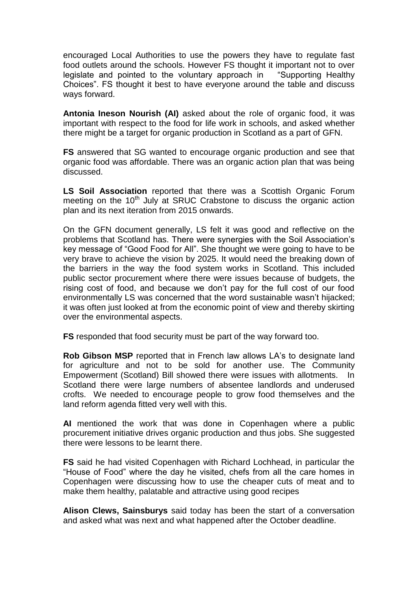encouraged Local Authorities to use the powers they have to regulate fast food outlets around the schools. However FS thought it important not to over legislate and pointed to the voluntary approach in "Supporting Healthy Choices". FS thought it best to have everyone around the table and discuss ways forward.

**Antonia Ineson Nourish (AI)** asked about the role of organic food, it was important with respect to the food for life work in schools, and asked whether there might be a target for organic production in Scotland as a part of GFN.

**FS** answered that SG wanted to encourage organic production and see that organic food was affordable. There was an organic action plan that was being discussed.

**LS Soil Association** reported that there was a Scottish Organic Forum meeting on the 10<sup>th</sup> July at SRUC Crabstone to discuss the organic action plan and its next iteration from 2015 onwards.

On the GFN document generally, LS felt it was good and reflective on the problems that Scotland has. There were synergies with the Soil Association's key message of "Good Food for All". She thought we were going to have to be very brave to achieve the vision by 2025. It would need the breaking down of the barriers in the way the food system works in Scotland. This included public sector procurement where there were issues because of budgets, the rising cost of food, and because we don't pay for the full cost of our food environmentally LS was concerned that the word sustainable wasn't hijacked; it was often just looked at from the economic point of view and thereby skirting over the environmental aspects.

**FS** responded that food security must be part of the way forward too.

**Rob Gibson MSP** reported that in French law allows LA's to designate land for agriculture and not to be sold for another use. The Community Empowerment (Scotland) Bill showed there were issues with allotments. In Scotland there were large numbers of absentee landlords and underused crofts. We needed to encourage people to grow food themselves and the land reform agenda fitted very well with this.

**AI** mentioned the work that was done in Copenhagen where a public procurement initiative drives organic production and thus jobs. She suggested there were lessons to be learnt there.

**FS** said he had visited Copenhagen with Richard Lochhead, in particular the "House of Food" where the day he visited, chefs from all the care homes in Copenhagen were discussing how to use the cheaper cuts of meat and to make them healthy, palatable and attractive using good recipes

**Alison Clews, Sainsburys** said today has been the start of a conversation and asked what was next and what happened after the October deadline.